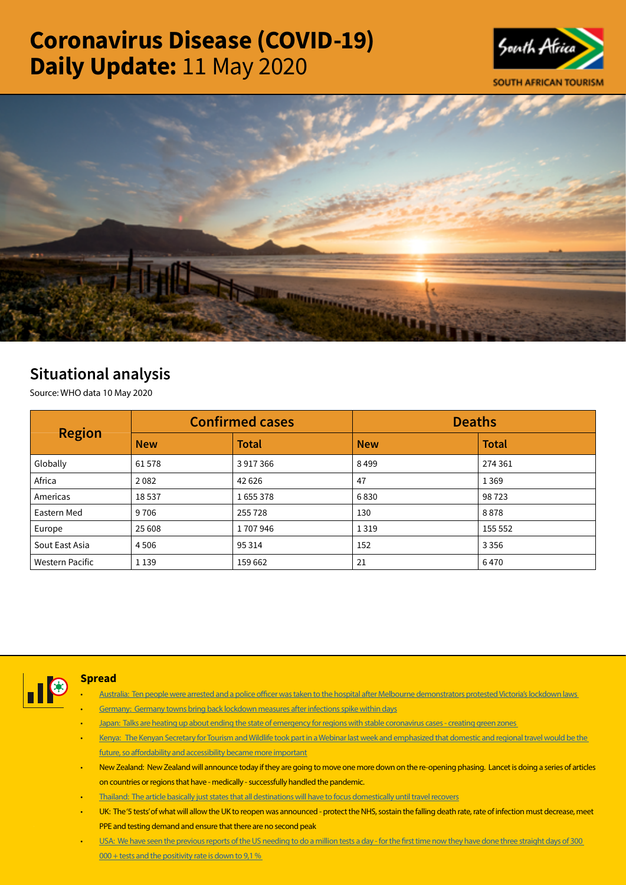# Coronavirus Disease (COVID-19) Daily Update: 11 May 2020





# Situational analysis

Source: WHO data 10 May 2020

| <b>Region</b>          |            | <b>Confirmed cases</b> | <b>Deaths</b> |              |  |
|------------------------|------------|------------------------|---------------|--------------|--|
|                        | <b>New</b> | <b>Total</b>           | <b>New</b>    | <b>Total</b> |  |
| Globally               | 61578      | 3917366                | 8499          | 274 361      |  |
| Africa                 | 2082       | 42 6 26                | 47            | 1369         |  |
| Americas               | 18537      | 1655378                | 6830          | 98723        |  |
| Eastern Med            | 9706       | 255728                 | 130           | 8878         |  |
| Europe                 | 25 608     | 1707946                | 1319          | 155 552      |  |
| Sout East Asia         | 4 5 0 6    | 95 3 14                | 152           | 3 3 5 6      |  |
| <b>Western Pacific</b> | 1 1 3 9    | 159 662                | 21            | 6470         |  |



## **Spread**

- [Australia: Ten people were arrested and a police officer was taken to the hospital after Melbourne demonstrators protested Victoria's lockdown laws](https://is.gd/Q86w0H)
- [Germany: Germany towns bring back lockdown measures after infections spike within days](https://t.co/Jb7wteHoTC?amp=1)
- [Japan: Talks are heating up about ending the state of emergency for regions with stable coronavirus cases creating green zones](https://t.co/kCQ8FivNpo?amp=1)
- [Kenya: The Kenyan Secretary for Tourism and Wildlife took part in a Webinar last week and emphasized that domestic and regional travel would be the](https://is.gd/hSrBGE)  [future, so affordability and accessibility became more important](https://is.gd/hSrBGE)
- New Zealand: New Zealand will announce today if they are going to move one more down on the re-opening phasing. Lancet is doing a series of articles on countries or regions that have - medically - successfully handled the pandemic.
- [Thailand: The article basically just states that all destinations will have to focus domestically until travel recovers](https://is.gd/8uW036)
- UK: The '5 tests' of what will allow the UK to reopen was announced protect the NHS, sostain the falling death rate, rate of infection must decrease, meet PPE and testing demand and ensure that there are no second peak
- USA: We have seen the previous reports of the US needing to do a million tests a day for the first time now they have done three straight days of 300  $000 +$  tests and the positivity rate is down to 9,1 %